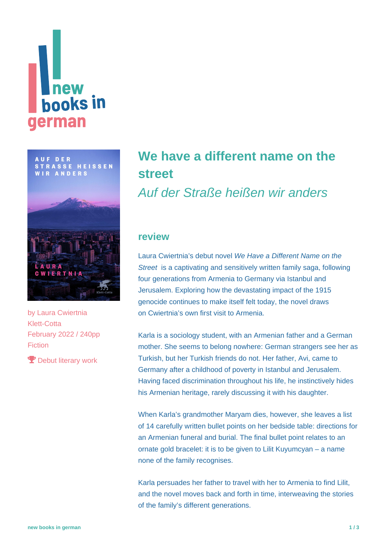## **Thew<br>books in** german

**AUF DER STRASSE HEISSEN WIR ANDERS** 



by [Laura Cwiertnia](https://www.new-books-in-german.com/recommendations/?searchInput=Laura%20Cwiertnia) Klett-Cotta February 2022 / 240pp Fiction

**P** Debut literary work

## **[We have a different name on the](https://www.new-books-in-german.com/recommendations/we-have-a-different-name-on-the-street/) [street](https://www.new-books-in-german.com/recommendations/we-have-a-different-name-on-the-street/)**

Auf der Straße heißen wir anders

## **review**

Laura Cwiertnia's debut novel We Have a Different Name on the Street is a captivating and sensitively written family saga, following four generations from Armenia to Germany via Istanbul and Jerusalem. Exploring how the devastating impact of the 1915 genocide continues to make itself felt today, the novel draws on Cwiertnia's own first visit to Armenia.

Karla is a sociology student, with an Armenian father and a German mother. She seems to belong nowhere: German strangers see her as Turkish, but her Turkish friends do not. Her father, Avi, came to Germany after a childhood of poverty in Istanbul and Jerusalem. Having faced discrimination throughout his life, he instinctively hides his Armenian heritage, rarely discussing it with his daughter.

When Karla's grandmother Maryam dies, however, she leaves a list of 14 carefully written bullet points on her bedside table: directions for an Armenian funeral and burial. The final bullet point relates to an ornate gold bracelet: it is to be given to Lilit Kuyumcyan – a name none of the family recognises.

Karla persuades her father to travel with her to Armenia to find Lilit, and the novel moves back and forth in time, interweaving the stories of the family's different generations.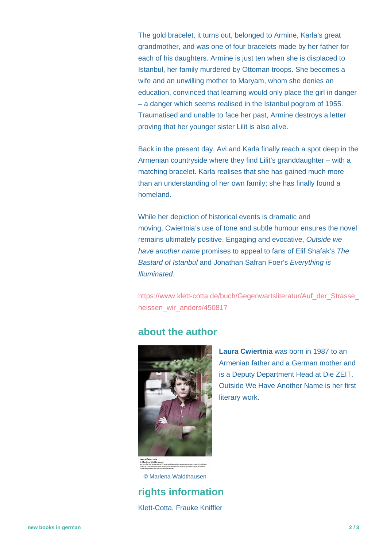The gold bracelet, it turns out, belonged to Armine, Karla's great grandmother, and was one of four bracelets made by her father for each of his daughters. Armine is just ten when she is displaced to Istanbul, her family murdered by Ottoman troops. She becomes a wife and an unwilling mother to Maryam, whom she denies an education, convinced that learning would only place the girl in danger – a danger which seems realised in the Istanbul pogrom of 1955. Traumatised and unable to face her past, Armine destroys a letter proving that her younger sister Lilit is also alive.

Back in the present day, Avi and Karla finally reach a spot deep in the Armenian countryside where they find Lilit's granddaughter – with a matching bracelet. Karla realises that she has gained much more than an understanding of her own family; she has finally found a homeland.

While her depiction of historical events is dramatic and moving, Cwiertnia's use of tone and subtle humour ensures the novel remains ultimately positive. Engaging and evocative, Outside we have another name promises to appeal to fans of Elif Shafak's The Bastard of Istanbul and Jonathan Safran Foer's Everything is Illuminated.

https://www.klett-cotta.de/buch/Gegenwartsliteratur/Auf\_der\_Strasse [heissen\\_wir\\_anders/450817](https://www.klett-cotta.de/buch/Gegenwartsliteratur/Auf_der_Strasse_heissen_wir_anders/450817)

## **about the author**



.<br>ne Buchbesprechung oder Veranstaltungsankündigung<br>nsten bitte Rechte bei Fotografin/Fotograf anfordern.

© Marlena Waldthausen

**rights information** Klett-Cotta, Frauke Kniffler

**Laura Cwiertnia** was born in 1987 to an Armenian father and a German mother and is a Deputy Department Head at Die ZEIT. Outside We Have Another Name is her first literary work.